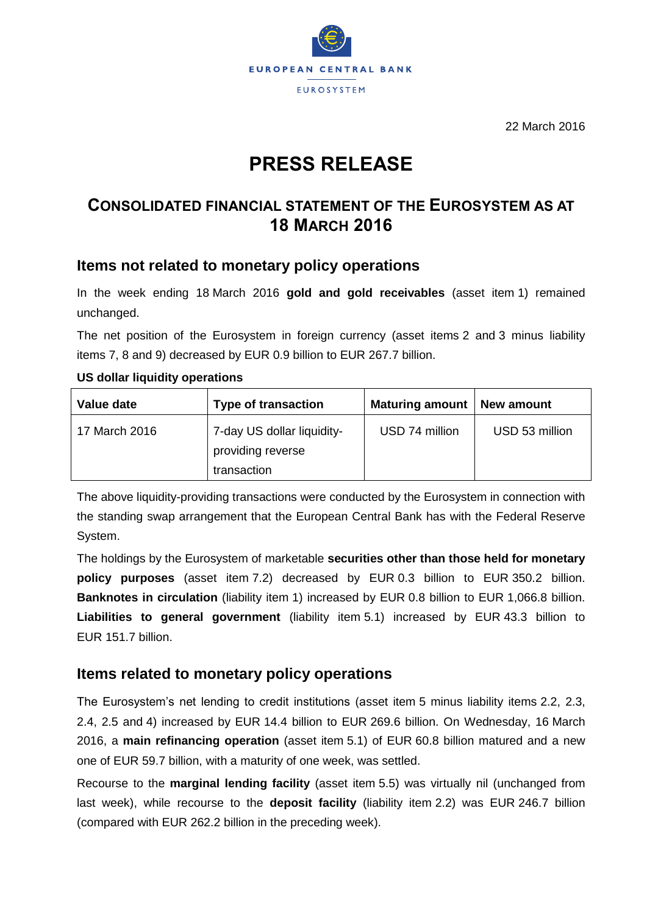

22 March 2016

# **PRESS RELEASE**

## **CONSOLIDATED FINANCIAL STATEMENT OF THE EUROSYSTEM AS AT 18 MARCH 2016**

## **Items not related to monetary policy operations**

In the week ending 18 March 2016 **gold and gold receivables** (asset item 1) remained unchanged.

The net position of the Eurosystem in foreign currency (asset items 2 and 3 minus liability items 7, 8 and 9) decreased by EUR 0.9 billion to EUR 267.7 billion.

#### **US dollar liquidity operations**

| Value date    | <b>Type of transaction</b>                                     | <b>Maturing amount</b> | New amount     |
|---------------|----------------------------------------------------------------|------------------------|----------------|
| 17 March 2016 | 7-day US dollar liquidity-<br>providing reverse<br>transaction | USD 74 million         | USD 53 million |

The above liquidity-providing transactions were conducted by the Eurosystem in connection with the standing swap arrangement that the European Central Bank has with the Federal Reserve System.

The holdings by the Eurosystem of marketable **securities other than those held for monetary policy purposes** (asset item 7.2) decreased by EUR 0.3 billion to EUR 350.2 billion. **Banknotes in circulation** (liability item 1) increased by EUR 0.8 billion to EUR 1,066.8 billion. **Liabilities to general government** (liability item 5.1) increased by EUR 43.3 billion to EUR 151.7 billion.

### **Items related to monetary policy operations**

The Eurosystem's net lending to credit institutions (asset item 5 minus liability items 2.2, 2.3, 2.4, 2.5 and 4) increased by EUR 14.4 billion to EUR 269.6 billion. On Wednesday, 16 March 2016, a **main refinancing operation** (asset item 5.1) of EUR 60.8 billion matured and a new one of EUR 59.7 billion, with a maturity of one week, was settled.

Recourse to the **marginal lending facility** (asset item 5.5) was virtually nil (unchanged from last week), while recourse to the **deposit facility** (liability item 2.2) was EUR 246.7 billion (compared with EUR 262.2 billion in the preceding week).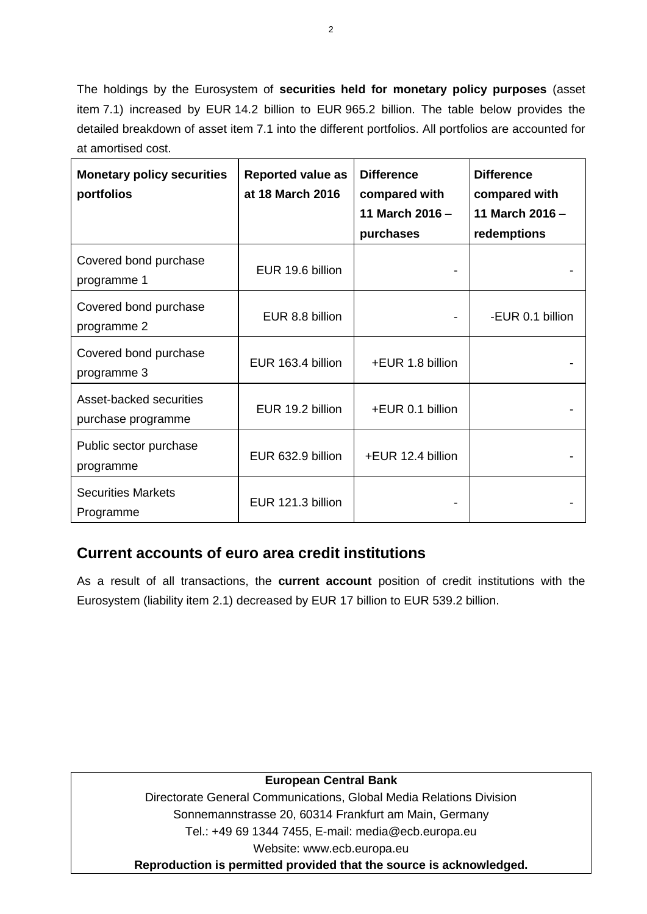The holdings by the Eurosystem of **securities held for monetary policy purposes** (asset item 7.1) increased by EUR 14.2 billion to EUR 965.2 billion. The table below provides the detailed breakdown of asset item 7.1 into the different portfolios. All portfolios are accounted for at amortised cost.

| <b>Monetary policy securities</b><br>portfolios | <b>Reported value as</b><br>at 18 March 2016 | <b>Difference</b><br>compared with<br>11 March 2016 -<br>purchases | <b>Difference</b><br>compared with<br>11 March 2016 -<br>redemptions |
|-------------------------------------------------|----------------------------------------------|--------------------------------------------------------------------|----------------------------------------------------------------------|
| Covered bond purchase<br>programme 1            | EUR 19.6 billion                             |                                                                    |                                                                      |
| Covered bond purchase<br>programme 2            | EUR 8.8 billion                              |                                                                    | -EUR 0.1 billion                                                     |
| Covered bond purchase<br>programme 3            | EUR 163.4 billion                            | +EUR 1.8 billion                                                   |                                                                      |
| Asset-backed securities<br>purchase programme   | EUR 19.2 billion                             | +EUR 0.1 billion                                                   |                                                                      |
| Public sector purchase<br>programme             | EUR 632.9 billion                            | +EUR 12.4 billion                                                  |                                                                      |
| <b>Securities Markets</b><br>Programme          | EUR 121.3 billion                            |                                                                    |                                                                      |

## **Current accounts of euro area credit institutions**

As a result of all transactions, the **current account** position of credit institutions with the Eurosystem (liability item 2.1) decreased by EUR 17 billion to EUR 539.2 billion.

#### **European Central Bank**

Directorate General Communications, Global Media Relations Division Sonnemannstrasse 20, 60314 Frankfurt am Main, Germany Tel.: +49 69 1344 7455, E-mail: media@ecb.europa.eu Website: www.ecb.europa.eu **Reproduction is permitted provided that the source is acknowledged.**

2